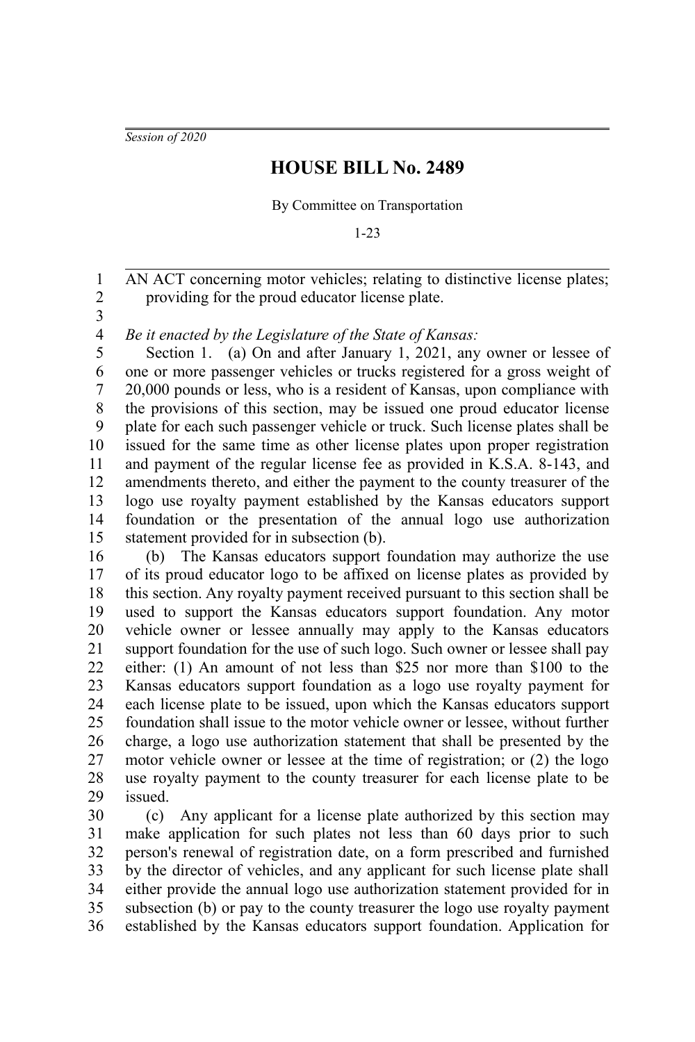*Session of 2020*

## **HOUSE BILL No. 2489**

By Committee on Transportation

1-23

AN ACT concerning motor vehicles; relating to distinctive license plates; providing for the proud educator license plate. 2

3

1

*Be it enacted by the Legislature of the State of Kansas:* 4

Section 1. (a) On and after January 1, 2021, any owner or lessee of one or more passenger vehicles or trucks registered for a gross weight of 20,000 pounds or less, who is a resident of Kansas, upon compliance with the provisions of this section, may be issued one proud educator license plate for each such passenger vehicle or truck. Such license plates shall be issued for the same time as other license plates upon proper registration and payment of the regular license fee as provided in K.S.A. 8-143, and amendments thereto, and either the payment to the county treasurer of the logo use royalty payment established by the Kansas educators support foundation or the presentation of the annual logo use authorization statement provided for in subsection (b). 5 6 7 8 9 10 11 12 13 14 15

(b) The Kansas educators support foundation may authorize the use of its proud educator logo to be affixed on license plates as provided by this section. Any royalty payment received pursuant to this section shall be used to support the Kansas educators support foundation. Any motor vehicle owner or lessee annually may apply to the Kansas educators support foundation for the use of such logo. Such owner or lessee shall pay either: (1) An amount of not less than \$25 nor more than \$100 to the Kansas educators support foundation as a logo use royalty payment for each license plate to be issued, upon which the Kansas educators support foundation shall issue to the motor vehicle owner or lessee, without further charge, a logo use authorization statement that shall be presented by the motor vehicle owner or lessee at the time of registration; or (2) the logo use royalty payment to the county treasurer for each license plate to be issued. 16 17 18 19 20 21 22 23 24 25 26 27 28 29

(c) Any applicant for a license plate authorized by this section may make application for such plates not less than 60 days prior to such person's renewal of registration date, on a form prescribed and furnished by the director of vehicles, and any applicant for such license plate shall either provide the annual logo use authorization statement provided for in subsection (b) or pay to the county treasurer the logo use royalty payment established by the Kansas educators support foundation. Application for 30 31 32 33 34 35 36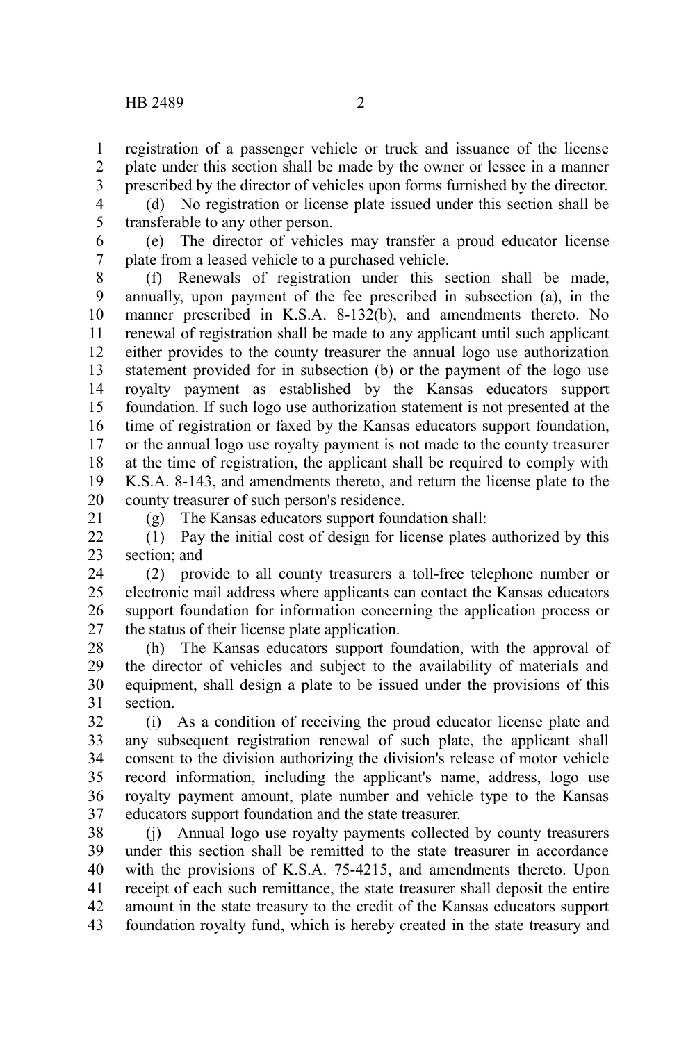1 2 3

(d) No registration or license plate issued under this section shall be transferable to any other person. 4 5

(e) The director of vehicles may transfer a proud educator license plate from a leased vehicle to a purchased vehicle. 6 7

(f) Renewals of registration under this section shall be made, annually, upon payment of the fee prescribed in subsection (a), in the manner prescribed in K.S.A. 8-132(b), and amendments thereto. No renewal of registration shall be made to any applicant until such applicant either provides to the county treasurer the annual logo use authorization statement provided for in subsection (b) or the payment of the logo use royalty payment as established by the Kansas educators support foundation. If such logo use authorization statement is not presented at the time of registration or faxed by the Kansas educators support foundation, or the annual logo use royalty payment is not made to the county treasurer at the time of registration, the applicant shall be required to comply with K.S.A. 8-143, and amendments thereto, and return the license plate to the county treasurer of such person's residence. 8 9 10 11 12 13 14 15 16 17 18 19 20

21

(g) The Kansas educators support foundation shall:

(1) Pay the initial cost of design for license plates authorized by this section; and  $22$ 23

(2) provide to all county treasurers a toll-free telephone number or electronic mail address where applicants can contact the Kansas educators support foundation for information concerning the application process or the status of their license plate application. 24 25 26 27

(h) The Kansas educators support foundation, with the approval of the director of vehicles and subject to the availability of materials and equipment, shall design a plate to be issued under the provisions of this section. 28 29 30 31

(i) As a condition of receiving the proud educator license plate and any subsequent registration renewal of such plate, the applicant shall consent to the division authorizing the division's release of motor vehicle record information, including the applicant's name, address, logo use royalty payment amount, plate number and vehicle type to the Kansas educators support foundation and the state treasurer. 32 33 34 35 36 37

(j) Annual logo use royalty payments collected by county treasurers under this section shall be remitted to the state treasurer in accordance with the provisions of K.S.A. 75-4215, and amendments thereto. Upon receipt of each such remittance, the state treasurer shall deposit the entire amount in the state treasury to the credit of the Kansas educators support foundation royalty fund, which is hereby created in the state treasury and 38 39 40 41 42 43